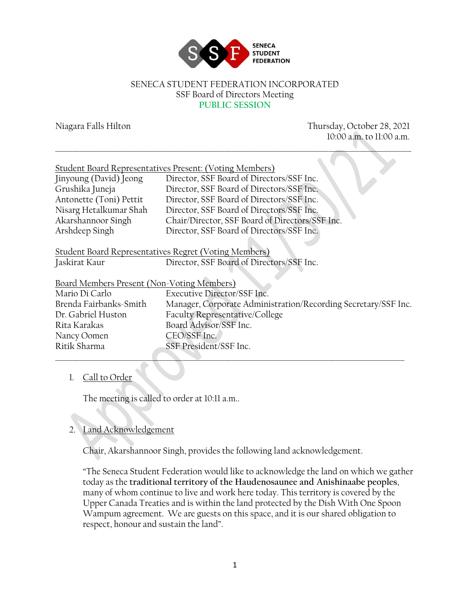

#### SENECA STUDENT FEDERATION INCORPORATED SSF Board of Directors Meeting **PUBLIC SESSION**

Niagara Falls Hilton Thursday, October 28, 2021 10:00 a.m. to 11:00 a.m. \_\_\_\_\_\_\_\_\_\_\_\_\_\_\_\_\_\_\_\_\_\_\_\_\_\_\_\_\_\_\_\_\_\_\_\_\_\_\_\_\_\_\_\_\_\_\_\_\_\_\_\_\_\_\_\_\_\_\_\_\_\_\_\_\_\_\_\_\_\_\_\_\_\_\_\_\_\_\_\_\_\_\_\_\_\_\_\_\_\_\_\_\_\_\_\_\_\_\_\_\_\_\_ Student Board Representatives Present: (Voting Members) Jinyoung (David) Jeong Director, SSF Board of Directors/SSF Inc. Grushika Juneja Director, SSF Board of Directors/SSF Inc. Antonette (Toni) Pettit Director, SSF Board of Directors/SSF Inc. Nisarg Hetalkumar Shah Director, SSF Board of Directors/SSF Inc.<br>Akarshannoor Singh Chair/Director, SSF Board of Directors/SS Chair/Director, SSF Board of Directors/SSF Inc. Arshdeep Singh Director, SSF Board of Directors/SSF Inc. Student Board Representatives Regret (Voting Members) Jaskirat Kaur Director, SSF Board of Directors/SSF Inc.

| Board Members Present (Non-Voting Members) |                                                                |
|--------------------------------------------|----------------------------------------------------------------|
| Mario Di Carlo                             | Executive Director/SSF Inc.                                    |
| Brenda Fairbanks-Smith                     | Manager, Corporate Administration/Recording Secretary/SSF Inc. |
| Dr. Gabriel Huston                         | Faculty Representative/College                                 |
| Rita Karakas                               | Board Advisor/SSF Inc.                                         |
| Nancy Oomen                                | CEO/SSF Inc.                                                   |
| Ritik Sharma                               | SSF President/SSF Inc.                                         |
|                                            |                                                                |

### 1. Call to Order

The meeting is called to order at 10:11 a.m..

# 2. Land Acknowledgement

Chair, Akarshannoor Singh, provides the following land acknowledgement.

"The Seneca Student Federation would like to acknowledge the land on which we gather today as the **traditional territory of the Haudenosaunee and Anishinaabe peoples**, many of whom continue to live and work here today. This territory is covered by the Upper Canada Treaties and is within the land protected by the Dish With One Spoon Wampum agreement. We are guests on this space, and it is our shared obligation to respect, honour and sustain the land".